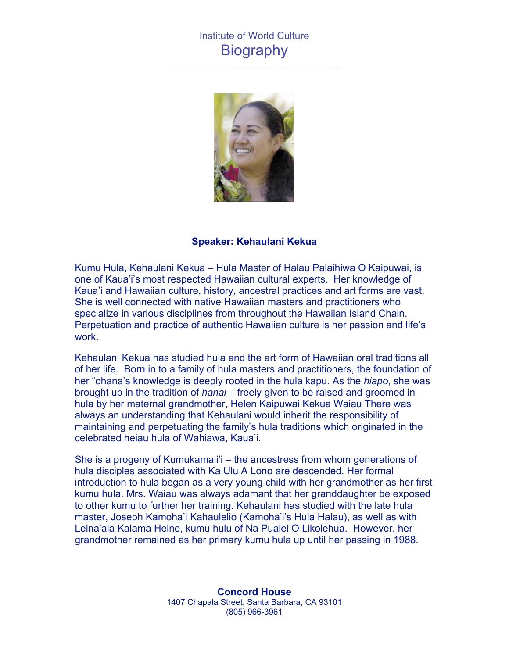## Institute of World Culture **Biography**



## **Speaker: Kehaulani Kekua**

Kumu Hula, Kehaulani Kekua – Hula Master of Halau Palaihiwa O Kaipuwai, is one of Kaua'i's most respected Hawaiian cultural experts. Her knowledge of Kaua'i and Hawaiian culture, history, ancestral practices and art forms are vast. She is well connected with native Hawaiian masters and practitioners who specialize in various disciplines from throughout the Hawaiian Island Chain. Perpetuation and practice of authentic Hawaiian culture is her passion and life's work.

Kehaulani Kekua has studied hula and the art form of Hawaiian oral traditions all of her life. Born in to a family of hula masters and practitioners, the foundation of her "ohana's knowledge is deeply rooted in the hula kapu. As the *hiapo*, she was brought up in the tradition of *hanai* – freely given to be raised and groomed in hula by her maternal grandmother, Helen Kaipuwai Kekua Waiau There was always an understanding that Kehaulani would inherit the responsibility of maintaining and perpetuating the family's hula traditions which originated in the celebrated heiau hula of Wahiawa, Kaua'i.

She is a progeny of Kumukamali'i – the ancestress from whom generations of hula disciples associated with Ka Ulu A Lono are descended. Her formal introduction to hula began as a very young child with her grandmother as her first kumu hula. Mrs. Waiau was always adamant that her granddaughter be exposed to other kumu to further her training. Kehaulani has studied with the late hula master, Joseph Kamoha'i Kahaulelio (Kamoha'i's Hula Halau), as well as with Leina'ala Kalama Heine, kumu hulu of Na Pualei O Likolehua. However, her grandmother remained as her primary kumu hula up until her passing in 1988.

> **Concord House** 1407 Chapala Street, Santa Barbara, CA 93101 (805) 966-3961